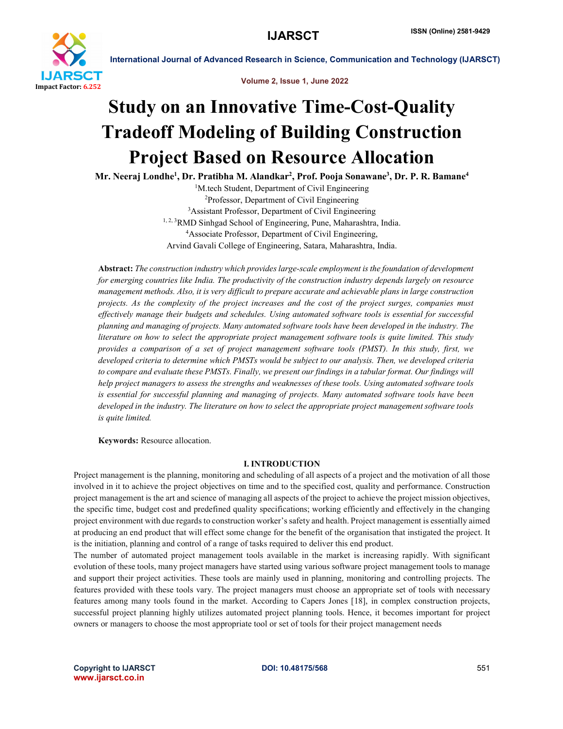

Volume 2, Issue 1, June 2022

# Study on an Innovative Time-Cost-Quality Tradeoff Modeling of Building Construction Project Based on Resource Allocation

Mr. Neeraj Londhe<sup>1</sup>, Dr. Pratibha M. Alandkar<sup>2</sup>, Prof. Pooja Sonawane<sup>3</sup>, Dr. P. R. Bamane<sup>4</sup>

<sup>1</sup>M.tech Student, Department of Civil Engineering 2 Professor, Department of Civil Engineering 3 Assistant Professor, Department of Civil Engineering <sup>1, 2, 3</sup>RMD Sinhgad School of Engineering, Pune, Maharashtra, India. 4 Associate Professor, Department of Civil Engineering, Arvind Gavali College of Engineering, Satara, Maharashtra, India.

Abstract: *The construction industry which provides large-scale employment is the foundation of development for emerging countries like India. The productivity of the construction industry depends largely on resource management methods. Also, it is very difficult to prepare accurate and achievable plans in large construction projects. As the complexity of the project increases and the cost of the project surges, companies must effectively manage their budgets and schedules. Using automated software tools is essential for successful planning and managing of projects. Many automated software tools have been developed in the industry. The literature on how to select the appropriate project management software tools is quite limited. This study provides a comparison of a set of project management software tools (PMST). In this study, first, we developed criteria to determine which PMSTs would be subject to our analysis. Then, we developed criteria* to compare and evaluate these PMSTs. Finally, we present our findings in a tabular format. Our findings will *help project managers to assess the strengths and weaknesses of these tools. Using automated software tools is essential for successful planning and managing of projects. Many automated software tools have been developed in the industry. The literature on how to select the appropriate project management software tools is quite limited.*

Keywords: Resource allocation.

# I. INTRODUCTION

Project management is the planning, monitoring and scheduling of all aspects of a project and the motivation of all those involved in it to achieve the project objectives on time and to the specified cost, quality and performance. Construction project management is the art and science of managing all aspects of the project to achieve the project mission objectives, the specific time, budget cost and predefined quality specifications; working efficiently and effectively in the changing project environment with due regards to construction worker's safety and health. Project management is essentially aimed at producing an end product that will effect some change for the benefit of the organisation that instigated the project. It is the initiation, planning and control of a range of tasks required to deliver this end product.

The number of automated project management tools available in the market is increasing rapidly. With significant evolution of these tools, many project managers have started using various software project management tools to manage and support their project activities. These tools are mainly used in planning, monitoring and controlling projects. The features provided with these tools vary. The project managers must choose an appropriate set of tools with necessary features among many tools found in the market. According to Capers Jones [18], in complex construction projects, successful project planning highly utilizes automated project planning tools. Hence, it becomes important for project owners or managers to choose the most appropriate tool or set of tools for their project management needs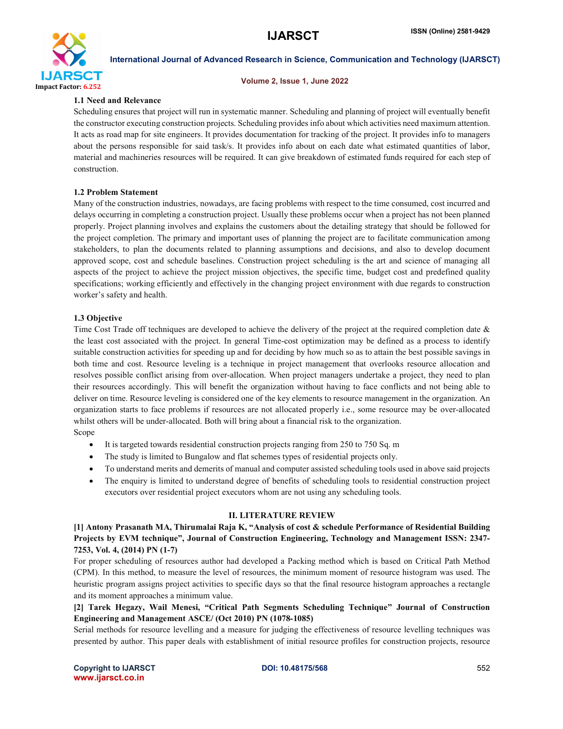

#### Volume 2, Issue 1, June 2022

### 1.1 Need and Relevance

Scheduling ensures that project will run in systematic manner. Scheduling and planning of project will eventually benefit the constructor executing construction projects. Scheduling provides info about which activities need maximum attention. It acts as road map for site engineers. It provides documentation for tracking of the project. It provides info to managers about the persons responsible for said task/s. It provides info about on each date what estimated quantities of labor, material and machineries resources will be required. It can give breakdown of estimated funds required for each step of construction.

### 1.2 Problem Statement

Many of the construction industries, nowadays, are facing problems with respect to the time consumed, cost incurred and delays occurring in completing a construction project. Usually these problems occur when a project has not been planned properly. Project planning involves and explains the customers about the detailing strategy that should be followed for the project completion. The primary and important uses of planning the project are to facilitate communication among stakeholders, to plan the documents related to planning assumptions and decisions, and also to develop document approved scope, cost and schedule baselines. Construction project scheduling is the art and science of managing all aspects of the project to achieve the project mission objectives, the specific time, budget cost and predefined quality specifications; working efficiently and effectively in the changing project environment with due regards to construction worker's safety and health.

### 1.3 Objective

Time Cost Trade off techniques are developed to achieve the delivery of the project at the required completion date  $\&$ the least cost associated with the project. In general Time-cost optimization may be defined as a process to identify suitable construction activities for speeding up and for deciding by how much so as to attain the best possible savings in both time and cost. Resource leveling is a technique in project management that overlooks resource allocation and resolves possible conflict arising from over-allocation. When project managers undertake a project, they need to plan their resources accordingly. This will benefit the organization without having to face conflicts and not being able to deliver on time. Resource leveling is considered one of the key elements to resource management in the organization. An organization starts to face problems if resources are not allocated properly i.e., some resource may be over-allocated whilst others will be under-allocated. Both will bring about a financial risk to the organization.

Scope

- It is targeted towards residential construction projects ranging from 250 to 750 Sq. m
- The study is limited to Bungalow and flat schemes types of residential projects only.
- To understand merits and demerits of manual and computer assisted scheduling tools used in above said projects
- The enquiry is limited to understand degree of benefits of scheduling tools to residential construction project executors over residential project executors whom are not using any scheduling tools.

# II. LITERATURE REVIEW

[1] Antony Prasanath MA, Thirumalai Raja K, "Analysis of cost & schedule Performance of Residential Building Projects by EVM technique", Journal of Construction Engineering, Technology and Management ISSN: 2347- 7253, Vol. 4, (2014) PN (1-7)

For proper scheduling of resources author had developed a Packing method which is based on Critical Path Method (CPM). In this method, to measure the level of resources, the minimum moment of resource histogram was used. The heuristic program assigns project activities to specific days so that the final resource histogram approaches a rectangle and its moment approaches a minimum value.

# [2] Tarek Hegazy, Wail Menesi, "Critical Path Segments Scheduling Technique" Journal of Construction Engineering and Management ASCE/ (Oct 2010) PN (1078-1085)

Serial methods for resource levelling and a measure for judging the effectiveness of resource levelling techniques was presented by author. This paper deals with establishment of initial resource profiles for construction projects, resource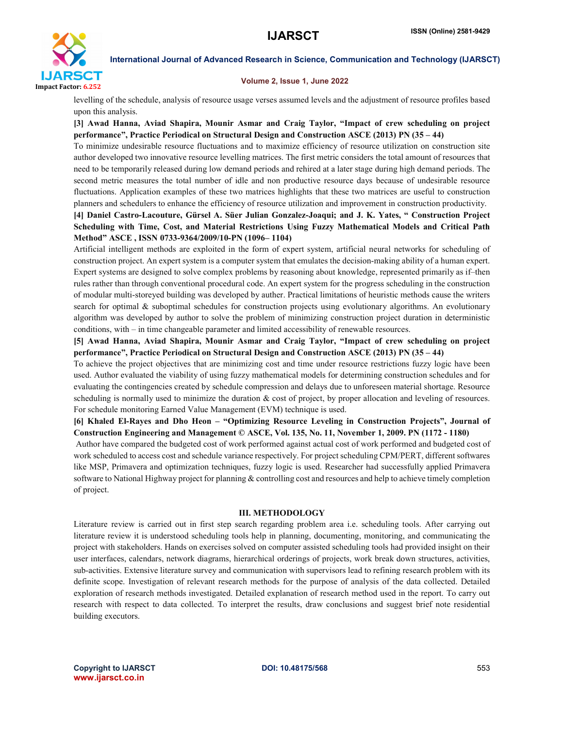

#### Volume 2, Issue 1, June 2022

levelling of the schedule, analysis of resource usage verses assumed levels and the adjustment of resource profiles based upon this analysis.

[3] Awad Hanna, Aviad Shapira, Mounir Asmar and Craig Taylor, "Impact of crew scheduling on project performance", Practice Periodical on Structural Design and Construction ASCE (2013) PN (35 – 44)

To minimize undesirable resource fluctuations and to maximize efficiency of resource utilization on construction site author developed two innovative resource levelling matrices. The first metric considers the total amount of resources that need to be temporarily released during low demand periods and rehired at a later stage during high demand periods. The second metric measures the total number of idle and non productive resource days because of undesirable resource fluctuations. Application examples of these two matrices highlights that these two matrices are useful to construction planners and schedulers to enhance the efficiency of resource utilization and improvement in construction productivity.

# [4] Daniel Castro-Lacouture, Gürsel A. Süer Julian Gonzalez-Joaqui; and J. K. Yates, " Construction Project Scheduling with Time, Cost, and Material Restrictions Using Fuzzy Mathematical Models and Critical Path Method" ASCE , ISSN 0733-9364/2009/10-PN (1096– 1104)

Artificial intelligent methods are exploited in the form of expert system, artificial neural networks for scheduling of construction project. An expert system is a computer system that emulates the decision-making ability of a human expert. Expert systems are designed to solve complex problems by reasoning about knowledge, represented primarily as if–then rules rather than through conventional procedural code. An expert system for the progress scheduling in the construction of modular multi-storeyed building was developed by auther. Practical limitations of heuristic methods cause the writers search for optimal & suboptimal schedules for construction projects using evolutionary algorithms. An evolutionary algorithm was developed by author to solve the problem of minimizing construction project duration in deterministic conditions, with – in time changeable parameter and limited accessibility of renewable resources.

[5] Awad Hanna, Aviad Shapira, Mounir Asmar and Craig Taylor, "Impact of crew scheduling on project performance", Practice Periodical on Structural Design and Construction ASCE (2013) PN (35 – 44)

To achieve the project objectives that are minimizing cost and time under resource restrictions fuzzy logic have been used. Author evaluated the viability of using fuzzy mathematical models for determining construction schedules and for evaluating the contingencies created by schedule compression and delays due to unforeseen material shortage. Resource scheduling is normally used to minimize the duration & cost of project, by proper allocation and leveling of resources. For schedule monitoring Earned Value Management (EVM) technique is used.

[6] Khaled El-Rayes and Dho Heon – "Optimizing Resource Leveling in Construction Projects", Journal of Construction Engineering and Management © ASCE, Vol. 135, No. 11, November 1, 2009. PN (1172 - 1180)

Author have compared the budgeted cost of work performed against actual cost of work performed and budgeted cost of work scheduled to access cost and schedule variance respectively. For project scheduling CPM/PERT, different softwares like MSP, Primavera and optimization techniques, fuzzy logic is used. Researcher had successfully applied Primavera software to National Highway project for planning & controlling cost and resources and help to achieve timely completion of project.

### III. METHODOLOGY

Literature review is carried out in first step search regarding problem area i.e. scheduling tools. After carrying out literature review it is understood scheduling tools help in planning, documenting, monitoring, and communicating the project with stakeholders. Hands on exercises solved on computer assisted scheduling tools had provided insight on their user interfaces, calendars, network diagrams, hierarchical orderings of projects, work break down structures, activities, sub-activities. Extensive literature survey and communication with supervisors lead to refining research problem with its definite scope. Investigation of relevant research methods for the purpose of analysis of the data collected. Detailed exploration of research methods investigated. Detailed explanation of research method used in the report. To carry out research with respect to data collected. To interpret the results, draw conclusions and suggest brief note residential building executors.

Copyright to IJARSCT **DOI: 10.48175/568** 553 www.ijarsct.co.in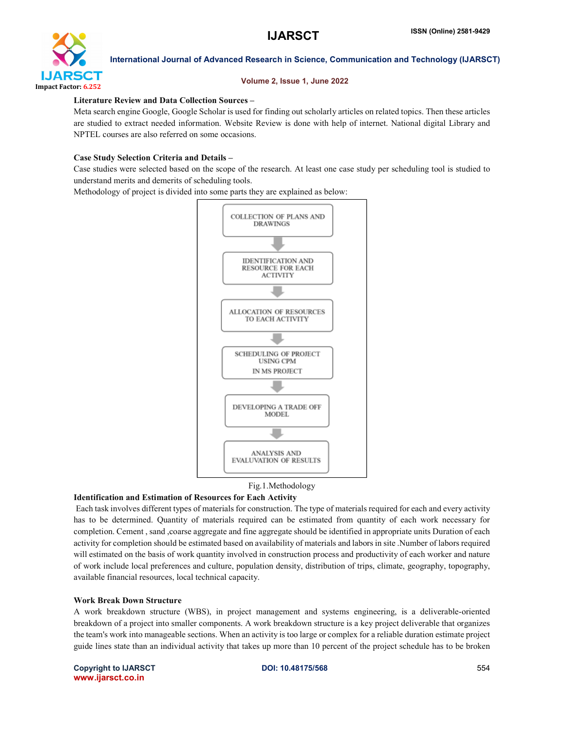

#### Volume 2, Issue 1, June 2022

### Literature Review and Data Collection Sources –

Meta search engine Google, Google Scholar is used for finding out scholarly articles on related topics. Then these articles are studied to extract needed information. Website Review is done with help of internet. National digital Library and NPTEL courses are also referred on some occasions.

### Case Study Selection Criteria and Details –

Case studies were selected based on the scope of the research. At least one case study per scheduling tool is studied to understand merits and demerits of scheduling tools.

Methodology of project is divided into some parts they are explained as below:





#### Identification and Estimation of Resources for Each Activity

Each task involves different types of materials for construction. The type of materials required for each and every activity has to be determined. Quantity of materials required can be estimated from quantity of each work necessary for completion. Cement, sand ,coarse aggregate and fine aggregate should be identified in appropriate units Duration of each activity for completion should be estimated based on availability of materials and labors in site .Number of labors required will estimated on the basis of work quantity involved in construction process and productivity of each worker and nature of work include local preferences and culture, population density, distribution of trips, climate, geography, topography, available financial resources, local technical capacity.

#### Work Break Down Structure

A work breakdown structure (WBS), in project management and systems engineering, is a deliverable-oriented breakdown of a project into smaller components. A work breakdown structure is a key project deliverable that organizes the team's work into manageable sections. When an activity is too large or complex for a reliable duration estimate project guide lines state than an individual activity that takes up more than 10 percent of the project schedule has to be broken

Copyright to IJARSCT **DOI: 10.48175/568** 554 www.ijarsct.co.in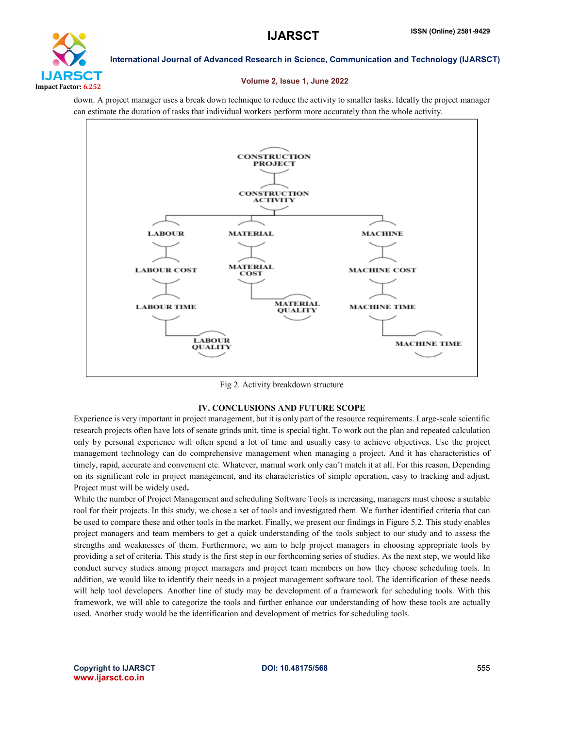

### Volume 2, Issue 1, June 2022

down. A project manager uses a break down technique to reduce the activity to smaller tasks. Ideally the project manager can estimate the duration of tasks that individual workers perform more accurately than the whole activity.



Fig 2. Activity breakdown structure

# IV. CONCLUSIONS AND FUTURE SCOPE

Experience is very important in project management, but it is only part of the resource requirements. Large-scale scientific research projects often have lots of senate grinds unit, time is special tight. To work out the plan and repeated calculation only by personal experience will often spend a lot of time and usually easy to achieve objectives. Use the project management technology can do comprehensive management when managing a project. And it has characteristics of timely, rapid, accurate and convenient etc. Whatever, manual work only can't match it at all. For this reason, Depending on its significant role in project management, and its characteristics of simple operation, easy to tracking and adjust, Project must will be widely used.

While the number of Project Management and scheduling Software Tools is increasing, managers must choose a suitable tool for their projects. In this study, we chose a set of tools and investigated them. We further identified criteria that can be used to compare these and other tools in the market. Finally, we present our findings in Figure 5.2. This study enables project managers and team members to get a quick understanding of the tools subject to our study and to assess the strengths and weaknesses of them. Furthermore, we aim to help project managers in choosing appropriate tools by providing a set of criteria. This study is the first step in our forthcoming series of studies. As the next step, we would like conduct survey studies among project managers and project team members on how they choose scheduling tools. In addition, we would like to identify their needs in a project management software tool. The identification of these needs will help tool developers. Another line of study may be development of a framework for scheduling tools. With this framework, we will able to categorize the tools and further enhance our understanding of how these tools are actually used. Another study would be the identification and development of metrics for scheduling tools.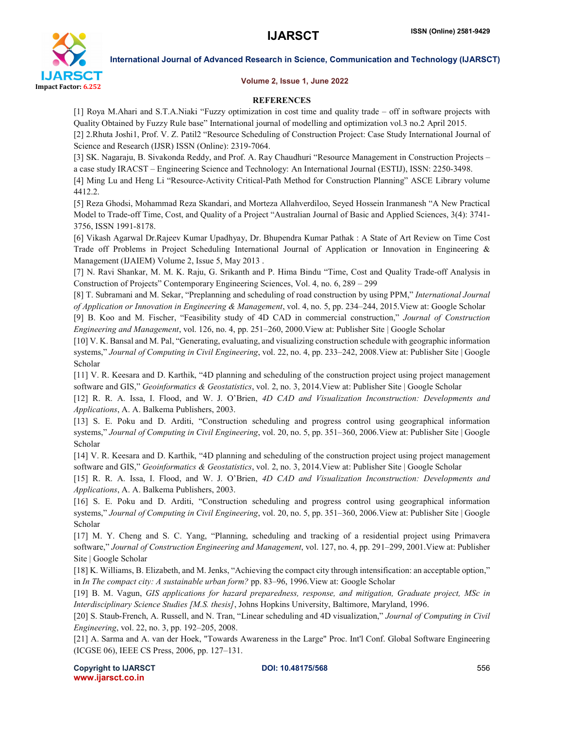

Volume 2, Issue 1, June 2022

# **REFERENCES**

[1] Roya M.Ahari and S.T.A.Niaki "Fuzzy optimization in cost time and quality trade – off in software projects with Quality Obtained by Fuzzy Rule base" International journal of modelling and optimization vol.3 no.2 April 2015.

[2] 2.Rhuta Joshi1, Prof. V. Z. Patil2 "Resource Scheduling of Construction Project: Case Study International Journal of Science and Research (IJSR) ISSN (Online): 2319-7064.

[3] SK. Nagaraju, B. Sivakonda Reddy, and Prof. A. Ray Chaudhuri "Resource Management in Construction Projects – a case study IRACST – Engineering Science and Technology: An International Journal (ESTIJ), ISSN: 2250-3498.

[4] Ming Lu and Heng Li "Resource-Activity Critical-Path Method for Construction Planning" ASCE Library volume 4412.2.

[5] Reza Ghodsi, Mohammad Reza Skandari, and Morteza Allahverdiloo, Seyed Hossein Iranmanesh "A New Practical Model to Trade-off Time, Cost, and Quality of a Project "Australian Journal of Basic and Applied Sciences, 3(4): 3741- 3756, ISSN 1991-8178.

[6] Vikash Agarwal Dr.Rajeev Kumar Upadhyay, Dr. Bhupendra Kumar Pathak : A State of Art Review on Time Cost Trade off Problems in Project Scheduling International Journal of Application or Innovation in Engineering & Management (IJAIEM) Volume 2, Issue 5, May 2013 .

[7] N. Ravi Shankar, M. M. K. Raju, G. Srikanth and P. Hima Bindu "Time, Cost and Quality Trade-off Analysis in Construction of Projects" Contemporary Engineering Sciences, Vol. 4, no. 6, 289 – 299

[8] T. Subramani and M. Sekar, "Preplanning and scheduling of road construction by using PPM," *International Journal of Application or Innovation in Engineering & Management*, vol. 4, no. 5, pp. 234–244, 2015.View at: Google Scholar

[9] B. Koo and M. Fischer, "Feasibility study of 4D CAD in commercial construction," *Journal of Construction Engineering and Management*, vol. 126, no. 4, pp. 251–260, 2000.View at: Publisher Site | Google Scholar

[10] V. K. Bansal and M. Pal, "Generating, evaluating, and visualizing construction schedule with geographic information systems," *Journal of Computing in Civil Engineering*, vol. 22, no. 4, pp. 233–242, 2008.View at: Publisher Site | Google Scholar

[11] V. R. Keesara and D. Karthik, "4D planning and scheduling of the construction project using project management software and GIS," *Geoinformatics & Geostatistics*, vol. 2, no. 3, 2014.View at: Publisher Site | Google Scholar

[12] R. R. A. Issa, I. Flood, and W. J. O'Brien, *4D CAD and Visualization Inconstruction: Developments and Applications*, A. A. Balkema Publishers, 2003.

[13] S. E. Poku and D. Arditi, "Construction scheduling and progress control using geographical information systems," *Journal of Computing in Civil Engineering*, vol. 20, no. 5, pp. 351–360, 2006.View at: Publisher Site | Google Scholar

[14] V. R. Keesara and D. Karthik, "4D planning and scheduling of the construction project using project management software and GIS," *Geoinformatics & Geostatistics*, vol. 2, no. 3, 2014.View at: Publisher Site | Google Scholar

[15] R. R. A. Issa, I. Flood, and W. J. O'Brien, *4D CAD and Visualization Inconstruction: Developments and Applications*, A. A. Balkema Publishers, 2003.

[16] S. E. Poku and D. Arditi, "Construction scheduling and progress control using geographical information systems," *Journal of Computing in Civil Engineering*, vol. 20, no. 5, pp. 351–360, 2006.View at: Publisher Site | Google Scholar

[17] M. Y. Cheng and S. C. Yang, "Planning, scheduling and tracking of a residential project using Primavera software," *Journal of Construction Engineering and Management*, vol. 127, no. 4, pp. 291–299, 2001.View at: Publisher Site | Google Scholar

[18] K. Williams, B. Elizabeth, and M. Jenks, "Achieving the compact city through intensification: an acceptable option," in *In The compact city: A sustainable urban form?* pp. 83–96, 1996.View at: Google Scholar

[19] B. M. Vagun, *GIS applications for hazard preparedness, response, and mitigation, Graduate project, MSc in Interdisciplinary Science Studies [M.S. thesis]*, Johns Hopkins University, Baltimore, Maryland, 1996.

[20] S. Staub-French, A. Russell, and N. Tran, "Linear scheduling and 4D visualization," *Journal of Computing in Civil Engineering*, vol. 22, no. 3, pp. 192–205, 2008.

[21] A. Sarma and A. van der Hoek, "Towards Awareness in the Large" Proc. Int'l Conf. Global Software Engineering (ICGSE 06), IEEE CS Press, 2006, pp. 127–131.

Copyright to IJARSCT **DOI: 10.48175/568** 556 www.ijarsct.co.in